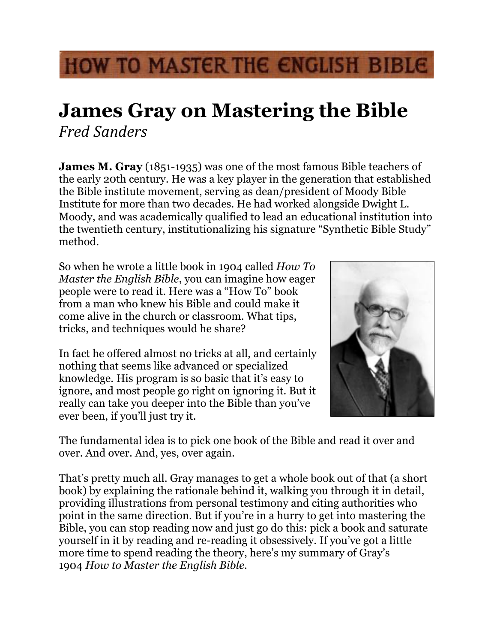## HOW TO MASTER THE ENGLISH BIBLE

## **James Gray on Mastering the Bible** *Fred Sanders*

**James M. Gray** (1851-1935) was one of the most famous Bible teachers of the early 20th century. He was a key player in the generation that established the Bible institute movement, serving as dean/president of Moody Bible Institute for more than two decades. He had worked alongside Dwight L. Moody, and was academically qualified to lead an educational institution into the twentieth century, institutionalizing his signature "Synthetic Bible Study" method.

So when he wrote a little book in 1904 called *How To Master the English Bible*, you can imagine how eager people were to read it. Here was a "How To" book from a man who knew his Bible and could make it come alive in the church or classroom. What tips, tricks, and techniques would he share?

In fact he offered almost no tricks at all, and certainly nothing that seems like advanced or specialized knowledge. His program is so basic that it's easy to ignore, and most people go right on ignoring it. But it really can take you deeper into the Bible than you've ever been, if you'll just try it.



The fundamental idea is to pick one book of the Bible and read it over and over. And over. And, yes, over again.

That's pretty much all. Gray manages to get a whole book out of that (a short book) by explaining the rationale behind it, walking you through it in detail, providing illustrations from personal testimony and citing authorities who point in the same direction. But if you're in a hurry to get into mastering the Bible, you can stop reading now and just go do this: pick a book and saturate yourself in it by reading and re-reading it obsessively. If you've got a little more time to spend reading the theory, here's my summary of Gray's 1904 *How to Master the English Bible*.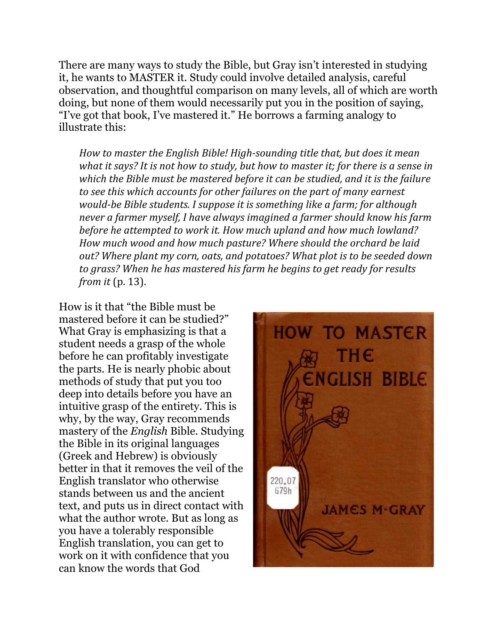There are many ways to study the Bible, but Gray isn't interested in studying it, he wants to MASTER it. Study could involve detailed analysis, careful observation, and thoughtful comparison on many levels, all of which are worth doing, but none of them would necessarily put you in the position of saying, "I've got that book, I've mastered it." He borrows a farming analogy to illustrate this:

*How to master the English Bible! High-sounding title that, but does it mean what it says?* It is not how to study, but how to master it; for there is a sense in which the Bible must be mastered before it can be studied, and it is the failure to see this which accounts for other failures on the part of many earnest *would-be Bible students. I suppose it is something like a farm; for although never a farmer myself, I have always imagined a farmer should know his farm before he attempted to work it. How much upland and how much lowland?* How much wood and how much pasture? Where should the orchard be laid out? Where plant my corn, oats, and potatoes? What plot is to be seeded down to grass? When he has mastered his farm he begins to get ready for results *from it* (p. 13).

How is it that "the Bible must be mastered before it can be studied?" What Gray is emphasizing is that a student needs a grasp of the whole before he can profitably investigate the parts. He is nearly phobic about methods of study that put you too deep into details before you have an intuitive grasp of the entirety. This is why, by the way, Gray recommends mastery of the *English* Bible. Studying the Bible in its original languages (Greek and Hebrew) is obviously better in that it removes the veil of the English translator who otherwise stands between us and the ancient text, and puts us in direct contact with what the author wrote. But as long as you have a tolerably responsible English translation, you can get to work on it with confidence that you can know the words that God

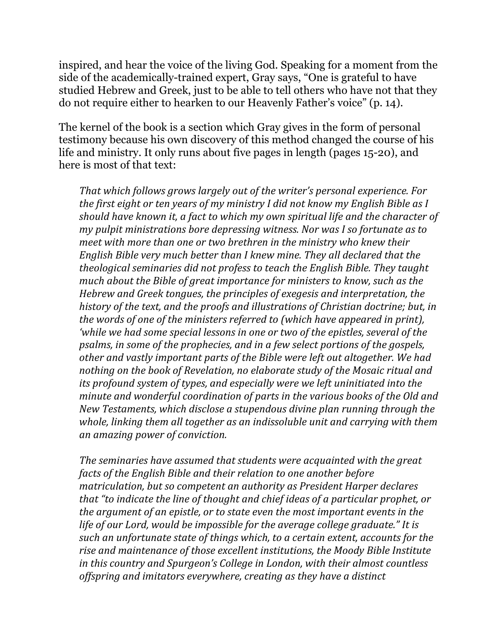inspired, and hear the voice of the living God. Speaking for a moment from the side of the academically-trained expert, Gray says, "One is grateful to have studied Hebrew and Greek, just to be able to tell others who have not that they do not require either to hearken to our Heavenly Father's voice" (p. 14).

The kernel of the book is a section which Gray gives in the form of personal testimony because his own discovery of this method changed the course of his life and ministry. It only runs about five pages in length (pages 15-20), and here is most of that text:

*That* which follows grows largely out of the writer's personal experience. For *the first eight or ten years of my ministry I did not know my English Bible as I* should have known it, a fact to which my own spiritual life and the character of *my* pulpit ministrations bore depressing witness. Nor was I so fortunate as to *meet* with more than one or two brethren in the ministry who knew their *English Bible very much better than I knew mine. They all declared that the theological seminaries did not profess to teach the English Bible. They taught much about the Bible of great importance for ministers to know, such as the Hebrew and Greek tongues, the principles of exegesis and interpretation, the* history of the text, and the proofs and illustrations of Christian doctrine; but, in *the words of one of the ministers referred to (which have appeared in print), 'while* we had some special lessons in one or two of the epistles, several of the *psalms, in some of the prophecies, and in a few select portions of the gospels,* other and vastly important parts of the Bible were left out altogether. We had nothing on the book of Revelation, no elaborate study of the Mosaic ritual and *its profound system of types, and especially were we left uninitiated into the minute and wonderful coordination of parts in the various books of the Old and New Testaments, which disclose a stupendous divine plan running through the* whole, linking them all together as an indissoluble unit and carrying with them *an amazing power of conviction.*

The seminaries have assumed that students were acquainted with the great *facts of the English Bible and their relation to one another before matriculation, but so competent an authority as President Harper declares that* "to indicate the line of thought and chief ideas of a particular prophet, or *the argument of an epistle, or to state even the most important events in the life* of our Lord, would be impossible for the average college graduate." It is *such an unfortunate state of things which, to a certain extent, accounts for the* rise and maintenance of those excellent institutions, the Moody Bible Institute *in this country and Spurgeon's College in London, with their almost countless* offspring and imitators everywhere, creating as they have a distinct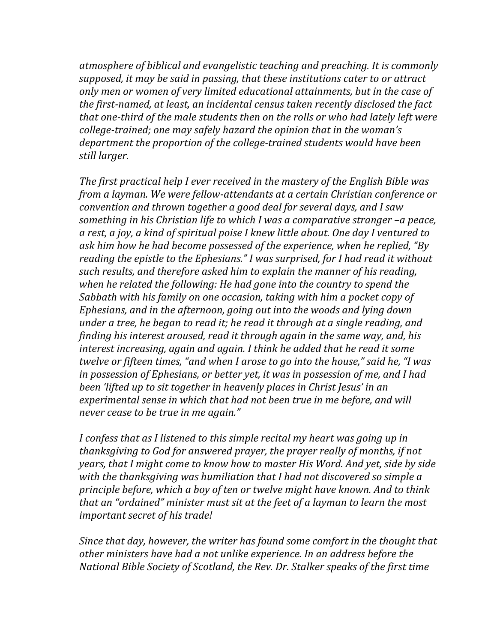atmosphere of biblical and evangelistic teaching and preaching. It is commonly supposed, it may be said in passing, that these institutions cater to or attract only men or women of very limited educational attainments, but in the case of the first-named, at least, an incidental census taken recently disclosed the fact that one-third of the male students then on the rolls or who had lately left were college-trained; one may safely hazard the opinion that in the woman's department the proportion of the college-trained students would have been still *larger*.

The first practical help I ever received in the mastery of the English Bible was *from a layman. We were fellow-attendants at a certain Christian conference or convention and thrown together a good deal for several days, and I saw something in his Christian life to which I was a comparative stranger -a peace, a* rest, a joy, a kind of spiritual poise I knew little about. One day I ventured to ask him how he had become possessed of the experience, when he replied, "By *reading the epistle to the Ephesians." I was surprised, for I had read it without such results, and therefore asked him to explain the manner of his reading,* when he related the following: He had gone into the country to spend the *Sabbath with his family on one occasion, taking with him a pocket copy of Ephesians, and in the afternoon, going out into the woods and lying down under a tree, he began to read it; he read it through at a single reading, and finding his interest aroused, read it through again in the same way, and, his interest increasing, again and again. I think he added that he read it some twelve or fifteen times, "and when I arose to go into the house," said he, "I was in possession of Ephesians, or better yet, it was in possession of me, and I had been 'lifted up to sit together in heavenly places in Christ Jesus' in an* experimental sense in which that had not been true in me before, and will *never cease to be true in me again."* 

*I* confess that as *I* listened to this simple recital my heart was going up in *thanksgiving to God for answered prayer, the prayer really of months, if not years, that I might come to know how to master His Word. And yet, side by side* with the thanksgiving was humiliation that I had not discovered so simple a *principle before, which a boy of ten or twelve might have known. And to think that an "ordained" minister must sit at the feet of a layman to learn the most important secret of his trade!* 

*Since that day, however, the writer has found some comfort in the thought that* other ministers have had a not unlike experience. In an address before the *National Bible Society of Scotland, the Rev. Dr. Stalker speaks of the first time*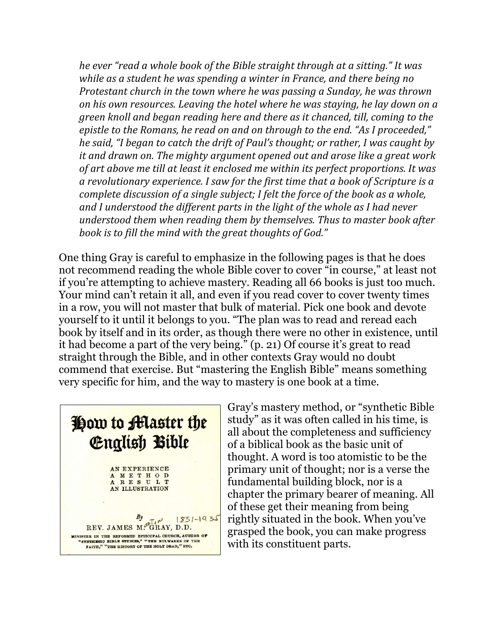*he ever "read a whole book of the Bible straight through at a sitting." It was while as a student he was spending a winter in France, and there being no Protestant church in the town where he was passing a Sunday, he was thrown on his own resources. Leaving the hotel where he was staying, he lay down on a green knoll and began reading here and there as it chanced, till, coming to the* epistle to the Romans, he read on and on through to the end. "As I proceeded," *he* said, "I began to catch the drift of Paul's thought; or rather, I was caught by *it and drawn on. The mighty argument opened out and arose like a great work* of art above me till at least it enclosed me within its perfect proportions. It was a revolutionary experience. I saw for the first time that a book of Scripture is a *complete discussion of a single subject; I felt the force of the book as a whole,* and I understood the different parts in the light of the whole as I had never *understood them when reading them by themselves. Thus to master book after* book is to fill the mind with the great thoughts of God."

One thing Gray is careful to emphasize in the following pages is that he does not recommend reading the whole Bible cover to cover "in course," at least not if you're attempting to achieve mastery. Reading all 66 books is just too much. Your mind can't retain it all, and even if you read cover to cover twenty times in a row, you will not master that bulk of material. Pick one book and devote yourself to it until it belongs to you. "The plan was to read and reread each book by itself and in its order, as though there were no other in existence, until it had become a part of the very being." (p. 21) Of course it's great to read straight through the Bible, and in other contexts Gray would no doubt commend that exercise. But "mastering the English Bible" means something very specific for him, and the way to mastery is one book at a time.



Gray's mastery method, or "synthetic Bible study" as it was often called in his time, is all about the completeness and sufficiency of a biblical book as the basic unit of thought. A word is too atomistic to be the primary unit of thought; nor is a verse the fundamental building block, nor is a chapter the primary bearer of meaning. All of these get their meaning from being rightly situated in the book. When you've grasped the book, you can make progress with its constituent parts.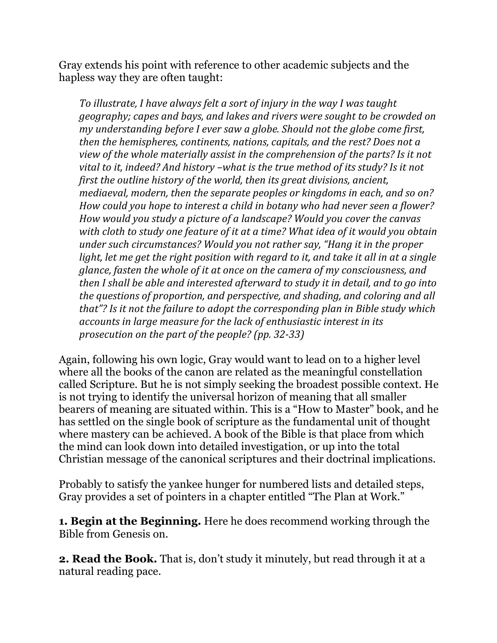Gray extends his point with reference to other academic subjects and the hapless way they are often taught:

*To* illustrate, I have always felt a sort of injury in the way I was taught *geography;* capes and bays, and lakes and rivers were sought to be crowded on *my* understanding before I ever saw a globe. Should not the globe come first, *then the hemispheres, continents, nations, capitals, and the rest? Does not a view of the whole materially assist in the comprehension of the parts? Is it not vital to it, indeed?* And history –what is the true method of its study? Is it not *first the outline history of the world, then its great divisions, ancient, mediaeval, modern, then the separate peoples or kingdoms in each, and so on?* How could you hope to interest a child in botany who had never seen a flower? *How* would you study a picture of a landscape? Would you cover the canvas with cloth to study one feature of it at a time? What idea of it would you obtain *under such circumstances?* Would you not rather say, "Hang it in the proper *light, let me get the right position with regard to it, and take it all in at a single glance, fasten the whole of it at once on the camera of my consciousness, and then I* shall be able and interested afterward to study it in detail, and to go into *the questions of proportion, and perspective, and shading, and coloring and all that"?* Is it not the failure to adopt the corresponding plan in Bible study which accounts in large measure for the lack of enthusiastic interest in its *prosecution on the part of the people?* (pp. 32-33)

Again, following his own logic, Gray would want to lead on to a higher level where all the books of the canon are related as the meaningful constellation called Scripture. But he is not simply seeking the broadest possible context. He is not trying to identify the universal horizon of meaning that all smaller bearers of meaning are situated within. This is a "How to Master" book, and he has settled on the single book of scripture as the fundamental unit of thought where mastery can be achieved. A book of the Bible is that place from which the mind can look down into detailed investigation, or up into the total Christian message of the canonical scriptures and their doctrinal implications.

Probably to satisfy the yankee hunger for numbered lists and detailed steps, Gray provides a set of pointers in a chapter entitled "The Plan at Work."

**1. Begin at the Beginning.** Here he does recommend working through the Bible from Genesis on.

**2. Read the Book.** That is, don't study it minutely, but read through it at a natural reading pace.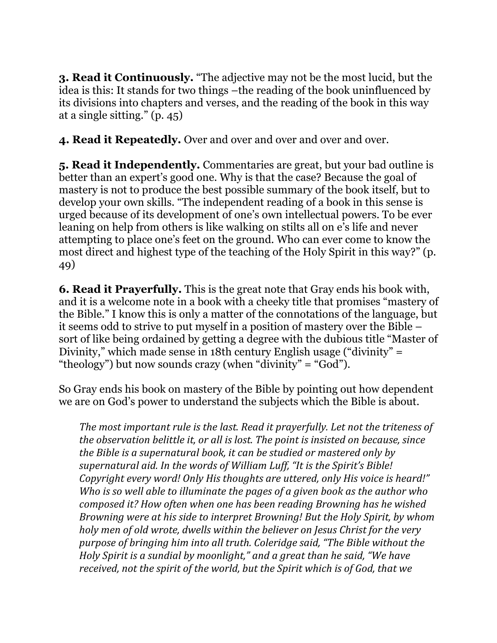**3. Read it Continuously.** "The adjective may not be the most lucid, but the idea is this: It stands for two things –the reading of the book uninfluenced by its divisions into chapters and verses, and the reading of the book in this way at a single sitting." (p. 45)

**4. Read it Repeatedly.** Over and over and over and over and over.

**5. Read it Independently.** Commentaries are great, but your bad outline is better than an expert's good one. Why is that the case? Because the goal of mastery is not to produce the best possible summary of the book itself, but to develop your own skills. "The independent reading of a book in this sense is urged because of its development of one's own intellectual powers. To be ever leaning on help from others is like walking on stilts all on e's life and never attempting to place one's feet on the ground. Who can ever come to know the most direct and highest type of the teaching of the Holy Spirit in this way?" (p. 49)

**6. Read it Prayerfully.** This is the great note that Gray ends his book with, and it is a welcome note in a book with a cheeky title that promises "mastery of the Bible." I know this is only a matter of the connotations of the language, but it seems odd to strive to put myself in a position of mastery over the Bible – sort of like being ordained by getting a degree with the dubious title "Master of Divinity," which made sense in 18th century English usage ("divinity" = "theology") but now sounds crazy (when "divinity" = "God").

So Gray ends his book on mastery of the Bible by pointing out how dependent we are on God's power to understand the subjects which the Bible is about.

The most important rule is the last. Read it prayerfully. Let not the triteness of *the observation belittle it, or all is lost. The point is insisted on because, since the Bible is a supernatural book, it can be studied or mastered only by* supernatural aid. In the words of William Luff, "It is the Spirit's Bible! *Copyright every word! Only His thoughts are uttered, only His voice is heard!" Who is so well able to illuminate the pages of a given book as the author who composed it?* How often when one has been reading Browning has he wished *Browning were at his side to interpret Browning! But the Holy Spirit, by whom holy* men of old wrote, dwells within the believer on Jesus Christ for the very *purpose of bringing him into all truth. Coleridge said, "The Bible without the Holy Spirit is a sundial by moonlight,"* and a great than he said, "We have received, not the spirit of the world, but the Spirit which is of God, that we